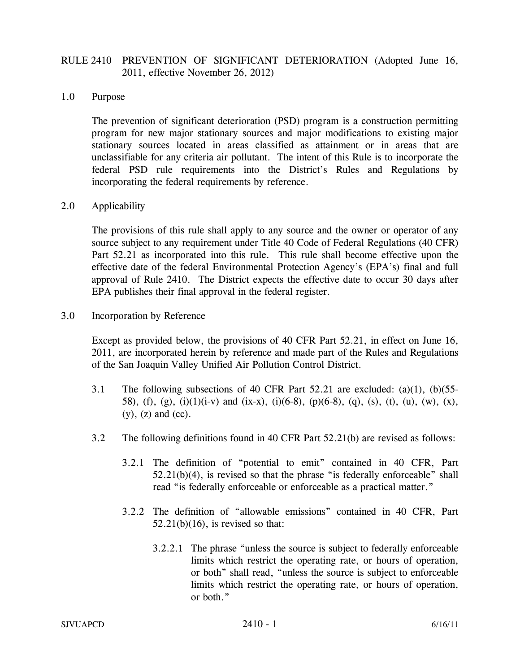## RULE 2410 PREVENTION OF SIGNIFICANT DETERIORATION (Adopted June 16, 2011, effective November 26, 2012)

## 1.0 Purpose

The prevention of significant deterioration (PSD) program is a construction permitting program for new major stationary sources and major modifications to existing major stationary sources located in areas classified as attainment or in areas that are unclassifiable for any criteria air pollutant. The intent of this Rule is to incorporate the federal PSD rule requirements into the District's Rules and Regulations by incorporating the federal requirements by reference.

## 2.0 Applicability

The provisions of this rule shall apply to any source and the owner or operator of any source subject to any requirement under Title 40 Code of Federal Regulations (40 CFR) Part 52.21 as incorporated into this rule. This rule shall become effective upon the effective date of the federal Environmental Protection Agency's (EPA's) final and full approval of Rule 2410. The District expects the effective date to occur 30 days after EPA publishes their final approval in the federal register.

3.0 Incorporation by Reference

Except as provided below, the provisions of 40 CFR Part 52.21, in effect on June 16, 2011, are incorporated herein by reference and made part of the Rules and Regulations of the San Joaquin Valley Unified Air Pollution Control District.

- 3.1 The following subsections of 40 CFR Part 52.21 are excluded: (a)(1), (b)(55- 58), (f), (g), (i)(1)(i-v) and (ix-x), (i)(6-8), (p)(6-8), (q), (s), (t), (u), (w), (x),  $(y)$ ,  $(z)$  and  $(cc)$ .
- 3.2 The following definitions found in 40 CFR Part 52.21(b) are revised as follows:
	- 3.2.1 The definition of "potential to emit" contained in 40 CFR, Part  $52.21(b)(4)$ , is revised so that the phrase "is federally enforceable" shall read "is federally enforceable or enforceable as a practical matter."
	- 3.2.2 The definition of "allowable emissions" contained in 40 CFR, Part  $52.21(b)(16)$ , is revised so that:
		- 3.2.2.1 The phrase "unless the source is subject to federally enforceable limits which restrict the operating rate, or hours of operation, or both" shall read, "unless the source is subject to enforceable limits which restrict the operating rate, or hours of operation, or both."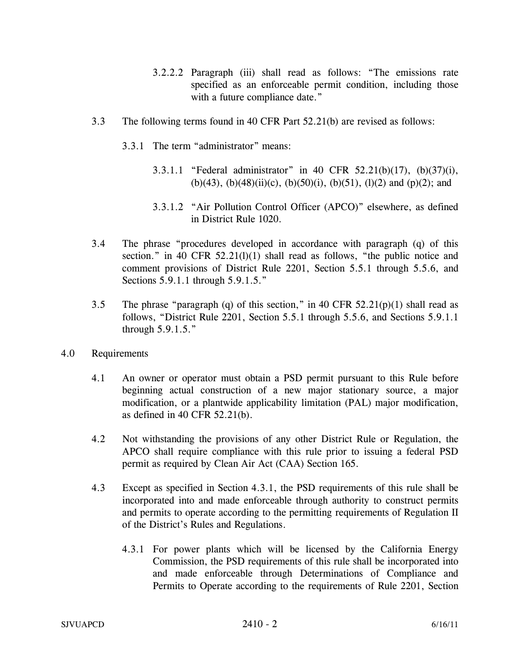- 3.2.2.2 Paragraph (iii) shall read as follows: "The emissions rate specified as an enforceable permit condition, including those with a future compliance date."
- 3.3 The following terms found in 40 CFR Part 52.21(b) are revised as follows:
	- 3.3.1 The term "administrator" means:
		- 3.3.1.1 "Federal administrator" in 40 CFR 52.21(b)(17), (b)(37)(i), (b)(43), (b)(48)(ii)(c), (b)(50)(i), (b)(51), (l)(2) and (p)(2); and
		- 3.3.1.2 "Air Pollution Control Officer (APCO)" elsewhere, as defined in District Rule 1020.
- 3.4 The phrase "procedures developed in accordance with paragraph (q) of this section." in 40 CFR 52.21(1)(1) shall read as follows, "the public notice and comment provisions of District Rule 2201, Section 5.5.1 through 5.5.6, and Sections 5.9.1.1 through 5.9.1.5."
- 3.5 The phrase "paragraph (q) of this section," in 40 CFR  $52.21(p)(1)$  shall read as follows, "District Rule 2201, Section 5.5.1 through 5.5.6, and Sections 5.9.1.1 through 5.9.1.5."
- 4.0 Requirements
	- 4.1 An owner or operator must obtain a PSD permit pursuant to this Rule before beginning actual construction of a new major stationary source, a major modification, or a plantwide applicability limitation (PAL) major modification, as defined in 40 CFR 52.21(b).
	- 4.2 Not withstanding the provisions of any other District Rule or Regulation, the APCO shall require compliance with this rule prior to issuing a federal PSD permit as required by Clean Air Act (CAA) Section 165.
	- 4.3 Except as specified in Section 4.3.1, the PSD requirements of this rule shall be incorporated into and made enforceable through authority to construct permits and permits to operate according to the permitting requirements of Regulation II of the District's Rules and Regulations.
		- 4.3.1 For power plants which will be licensed by the California Energy Commission, the PSD requirements of this rule shall be incorporated into and made enforceable through Determinations of Compliance and Permits to Operate according to the requirements of Rule 2201, Section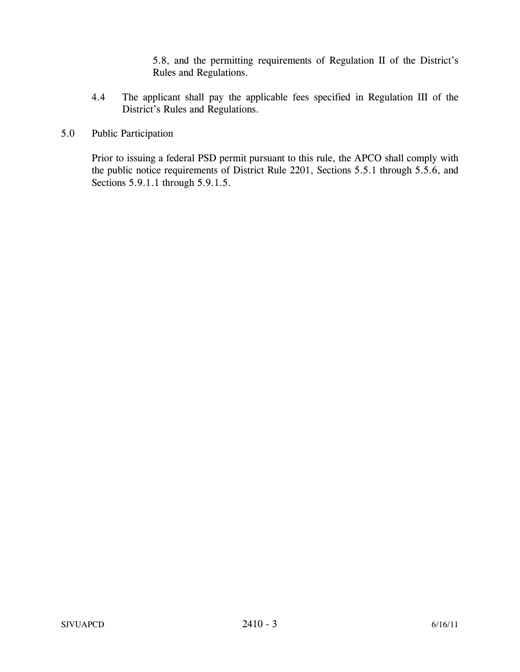5.8, and the permitting requirements of Regulation II of the District's Rules and Regulations.

- 4.4 The applicant shall pay the applicable fees specified in Regulation III of the District's Rules and Regulations.
- 5.0 Public Participation

 Prior to issuing a federal PSD permit pursuant to this rule, the APCO shall comply with the public notice requirements of District Rule 2201, Sections 5.5.1 through 5.5.6, and Sections 5.9.1.1 through 5.9.1.5.